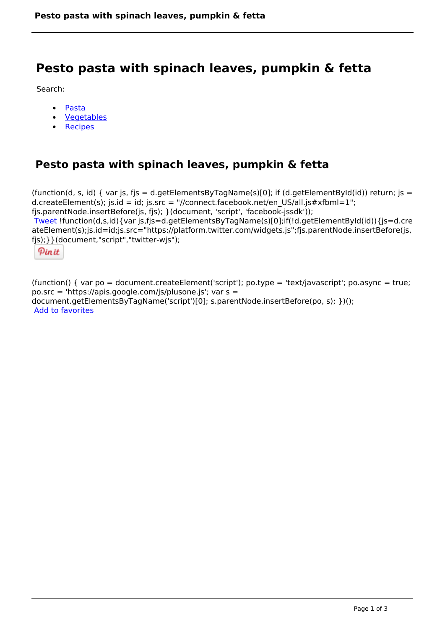# **Pesto pasta with spinach leaves, pumpkin & fetta**

Search:

- [Pasta](https://www.naturalhealthmag.com.au/nourish/pasta)  $\bullet$
- [Vegetables](https://www.naturalhealthmag.com.au/nourish/veg)  $\bullet$
- **[Recipes](https://www.naturalhealthmag.com.au/nourish/recipes)**

## **Pesto pasta with spinach leaves, pumpkin & fetta**

```
(function(d, s, id) { var js, fjs = d.getElementsByTagName(s)[0]; if (d.getElementById(id)) return; is =
d.createElement(s); js.id = id; js.src = "//connect.facebook.net/en_US/all.js#xfbml=1";
fjs.parentNode.insertBefore(js, fjs); }(document, 'script', 'facebook-jssdk')); 
Tweet !function(d,s,id){var js,fjs=d.getElementsByTagName(s)[0];if(!d.getElementById(id)){js=d.cre
ateElement(s);js.id=id;js.src="https://platform.twitter.com/widgets.js";fjs.parentNode.insertBefore(js,
fjs);}}(document,"script","twitter-wjs"); 
 Pin it
```
(function() { var po = document.createElement('script'); po.type = 'text/javascript'; po.async = true; po.src = 'https://apis.google.com/js/plusone.js'; var s = document.getElementsByTagName('script')[0]; s.parentNode.insertBefore(po, s); })(); Add to favorites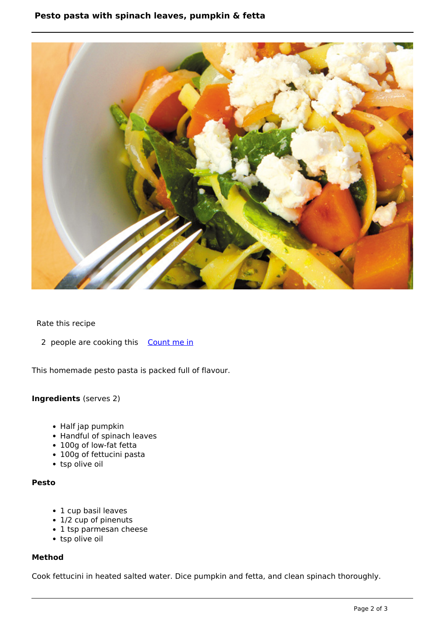### **Pesto pasta with spinach leaves, pumpkin & fetta**



#### Rate this recipe

2 people are cooking this [Count me in](https://www.naturalhealthmag.com.au/flag/flag/favorites/488?destination=printpdf%2F488&token=bb52f29e12318c8e2cd5c78d62f6d3b9)

This homemade pesto pasta is packed full of flavour.

#### **Ingredients** (serves 2)

- Half jap pumpkin
- Handful of spinach leaves
- 100g of low-fat fetta
- 100g of fettucini pasta
- tsp olive oil

#### **Pesto**

- 1 cup basil leaves
- 1/2 cup of pinenuts
- 1 tsp parmesan cheese
- tsp olive oil

#### **Method**

Cook fettucini in heated salted water. Dice pumpkin and fetta, and clean spinach thoroughly.